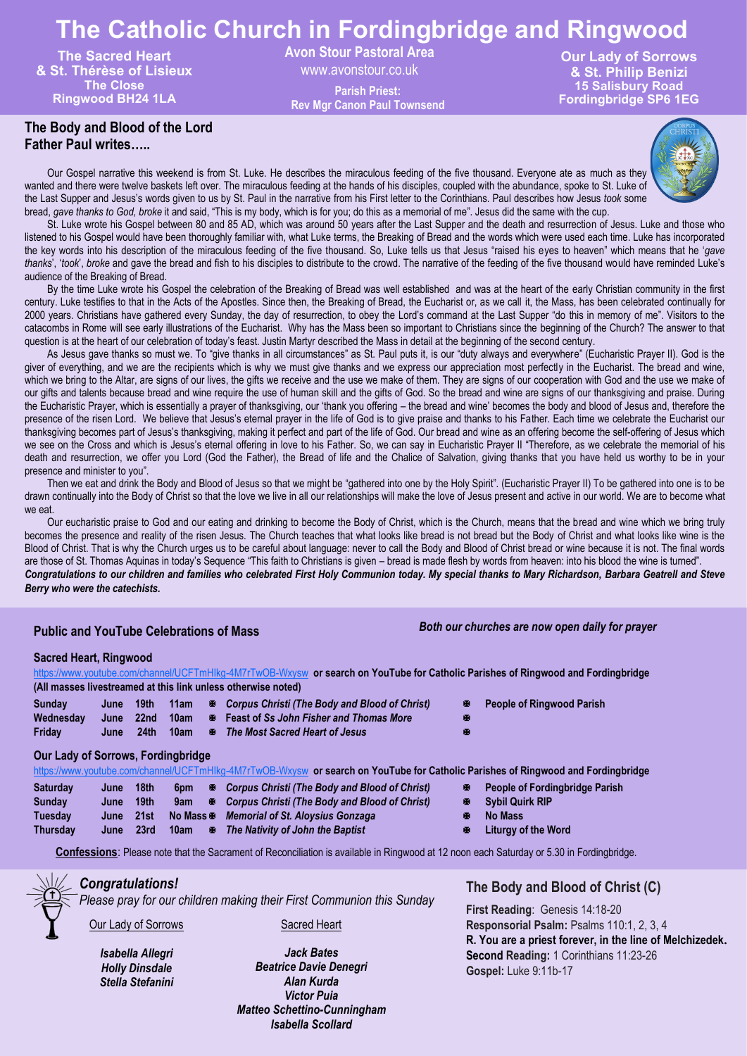# **The Catholic Church in Fordingbridge and Ringwood**

**The Sacred Heart & St. Thérèse of Lisieux The Close Ringwood BH24 1LA**

**Avon Stour Pastoral Area** 

www.avonstour.co.uk

**Rev Mgr Canon Paul Townsend**

**Our Lady of Sorrows & St. Philip Benizi 15 Salisbury Road Fordingbridge SP6 1EG Parish Priest:**

# **The Body and Blood of the Lord Father Paul writes…..**

Our Gospel narrative this weekend is from St. Luke. He describes the miraculous feeding of the five thousand. Everyone ate as much as they wanted and there were twelve baskets left over. The miraculous feeding at the hands of his disciples, coupled with the abundance, spoke to St. Luke of the Last Supper and Jesus's words given to us by St. Paul in the narrative from his First letter to the Corinthians. Paul describes how Jesus *took* some bread, *gave thanks to God, broke* it and said, "This is my body, which is for you; do this as a memorial of me". Jesus did the same with the cup.

listened to his Gospel would have been thoroughly familiar with, what Luke terms, the Breaking of Bread and the words which were used each time. Luke has incorporated the key words into his description of the miraculous feeding of the five thousand. So, Luke tells us that Jesus "raised his eyes to heaven" which means that he '*gave thanks*', '*took*', *broke* and gave the bread and fish to his disciples to distribute to the crowd. The narrative of the feeding of the five thousand would have reminded Luke's audience of the Breaking of Bread.

By the time Luke wrote his Gospel the celebration of the Breaking of Bread was well established and was at the heart of the early Christian community in the first century. Luke testifies to that in the Acts of the Apostles. Since then, the Breaking of Bread, the Eucharist or, as we call it, the Mass, has been celebrated continually for 2000 years. Christians have gathered every Sunday, the day of resurrection, to obey the Lord's command at the Last Supper "do this in memory of me". Visitors to the catacombs in Rome will see early illustrations of the Eucharist. Why has the Mass been so important to Christians since the beginning of the Church? The answer to that question is at the heart of our celebration of today's feast. Justin Martyr described the Mass in detail at the beginning of the second century.

As Jesus gave thanks so must we. To "give thanks in all circumstances" as St. Paul puts it, is our "duty always and everywhere" (Eucharistic Prayer II). God is the giver of everything, and we are the recipients which is why we must give thanks and we express our appreciation most perfectly in the Eucharist. The bread and wine, which we bring to the Altar, are signs of our lives, the gifts we receive and the use we make of them. They are signs of our cooperation with God and the use we make of our gifts and talents because bread and wine require the use of human skill and the gifts of God. So the bread and wine are signs of our thanksgiving and praise. During the Eucharistic Prayer, which is essentially a prayer of thanksgiving, our 'thank you offering – the bread and wine' becomes the body and blood of Jesus and, therefore the presence of the risen Lord. We believe that Jesus's eternal prayer in the life of God is to give praise and thanks to his Father. Each time we celebrate the Eucharist our thanksgiving becomes part of Jesus's thanksgiving, making it perfect and part of the life of God. Our bread and wine as an offering become the self-offering of Jesus which we see on the Cross and which is Jesus's eternal offering in love to his Father. So, we can say in Eucharistic Prayer II "Therefore, as we celebrate the memorial of his death and resurrection, we offer you Lord (God the Father), the Bread of life and the Chalice of Salvation, giving thanks that you have held us worthy to be in your

Then we eat and drink the Body and Blood of Jesus so that we might be "gathered into one by the Holy Spirit". (Eucharistic Prayer II) To be gathered into one is to be drawn continually into the Body of Christ so that the love we live in all our relationships will make the love of Jesus present and active in our world. We are to become what

Our eucharistic praise to God and our eating and drinking to become the Body of Christ, which is the Church, means that the bread and wine which we bring truly

| <b>Public and YouTube Celebrations of Mass</b>                 |                                                                                                                                   |                                        |             |                                                                                                                                                                                                                                                                                                                                                                                                                                                                               |                  |  | Both our churches are now open daily for prayer                                                                                                                           |  |  |
|----------------------------------------------------------------|-----------------------------------------------------------------------------------------------------------------------------------|----------------------------------------|-------------|-------------------------------------------------------------------------------------------------------------------------------------------------------------------------------------------------------------------------------------------------------------------------------------------------------------------------------------------------------------------------------------------------------------------------------------------------------------------------------|------------------|--|---------------------------------------------------------------------------------------------------------------------------------------------------------------------------|--|--|
| <b>Sunday</b><br>Wednesday<br>Friday                           | <b>Sacred Heart, Ringwood</b><br>19 <sub>th</sub><br>June<br>22 <sub>nd</sub><br>June<br>24 <sub>th</sub><br>June                 | 11am<br>10am<br>10am                   | 图           | https://www.youtube.com/channel/UCFTmHIkg-4M7rTwOB-Wxysw or search on YouTube for Catholic Parishes of Ringwood and Fordingbridge<br>(All masses livestreamed at this link unless otherwise noted)<br><b>E</b> Corpus Christi (The Body and Blood of Christ)<br><b>E</b> Feast of Ss John Fisher and Thomas More<br>The Most Sacred Heart of Jesus                                                                                                                            | 圈<br>圏<br>图      |  | <b>People of Ringwood Parish</b>                                                                                                                                          |  |  |
| <b>Saturday</b><br><b>Sunday</b><br><b>Tuesday</b><br>Thursday | <b>Our Lady of Sorrows, Fordingbridge</b><br>18 <sub>th</sub><br>June<br>19 <sub>th</sub><br>June<br>21st<br>June<br>23rd<br>June | 6pm<br>9am<br>No Mass <b>⊕</b><br>10am | 圈<br>图<br>圈 | https://www.youtube.com/channel/UCFTmHIkg-4M7rTwOB-Wxysw or search on YouTube for Catholic Parishes of Ringwood and Fordingbridge<br>Corpus Christi (The Body and Blood of Christ)<br><b>Corpus Christi (The Body and Blood of Christ)</b><br><b>Memorial of St. Aloysius Gonzaga</b><br>The Nativity of John the Baptist<br><b>Confessions:</b> Please note that the Sacrament of Reconciliation is available in Ringwood at 12 noon each Saturday or 5.30 in Fordingbridge. | 圈<br>图<br>冈<br>圈 |  | People of Fordingbridge Parish<br><b>Sybil Quirk RIP</b><br><b>No Mass</b><br>Liturgy of the Word                                                                         |  |  |
|                                                                | <b>Congratulations!</b><br>Our Lady of Sorrows                                                                                    |                                        |             | Please pray for our children making their First Communion this Sunday<br>Sacred Heart                                                                                                                                                                                                                                                                                                                                                                                         |                  |  | The Body and Blood of Christ (C)<br>First Reading: Genesis 14:18-20<br>Responsorial Psalm: Psalms 110:1, 2, 3, 4<br>R. You are a priest forever, in the line of Melchizer |  |  |

St. Luke wrote his Gospel between 80 and 85 AD, which was around 50 years after the Last Supper and the death and resurrection of Jesus. Luke and those who

presence and minister to you". we eat.

becomes the presence and reality of the risen Jesus. The Church teaches that what looks like bread is not bread but the Body of Christ and what looks like wine is the Blood of Christ. That is why the Church urges us to be careful about language: never to call the Body and Blood of Christ bread or wine because it is not. The final words are those of St. Thomas Aquinas in today's Sequence "This faith to Christians is given – bread is made flesh by words from heaven: into his blood the wine is turned". *Congratulations to our children and families who celebrated First Holy Communion today. My special thanks to Mary Richardson, Barbara Geatrell and Steve Berry who were the catechists.*

> *Isabella Allegri Holly Dinsdale Stella Stefanini*

*Jack Bates Beatrice Davie Denegri Alan Kurda Victor Puia Matteo Schettino-Cunningham Isabella Scollard*

**R. You are a priest forever, in the line of Melchizedek. Second Reading:** 1 Corinthians 11:23-26 **Gospel:** Luke 9:11b-17